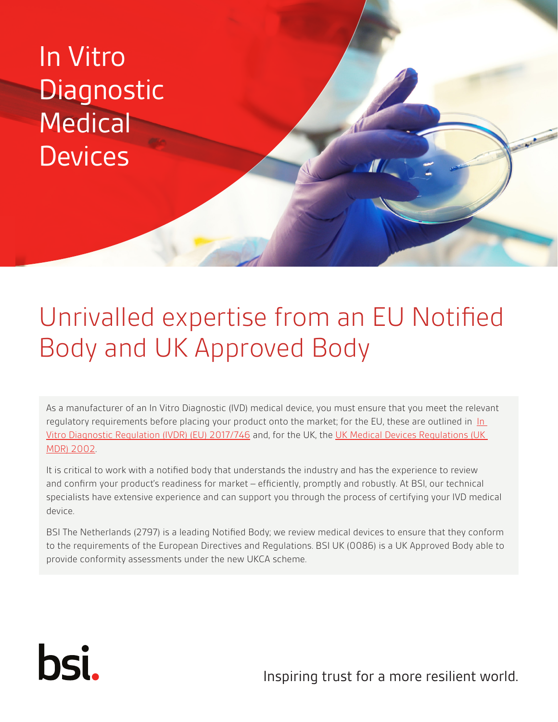## In Vitro **Diagnostic Medical Devices**

### Unrivalled expertise from an EU Notified Body and UK Approved Body

As a manufacturer of an In Vitro Diagnostic (IVD) medical device, you must ensure that you meet the relevant regulatory requirements before placing your product onto the market; for the EU, these are outlined in In [Vitro Diagnostic Regulation \(IVDR\) \(EU\) 2017/746](https://eur-lex.europa.eu/legal-content/EN/TXT/HTML/?uri=CELEX:32017R0746&from=EN) and, for the UK, the UK Medical Devices Regulations (UK [MDR\) 2002.](https://www.legislation.gov.uk/uksi/2002/618/contents/made)

It is critical to work with a notified body that understands the industry and has the experience to review and confirm your product's readiness for market – efficiently, promptly and robustly. At BSI, our technical specialists have extensive experience and can support you through the process of certifying your IVD medical device.

BSI The Netherlands (2797) is a leading Notified Body; we review medical devices to ensure that they conform to the requirements of the European Directives and Regulations. BSI UK (0086) is a UK Approved Body able to provide conformity assessments under the new UKCA scheme.

# bsi.

Inspiring trust for a more resilient world.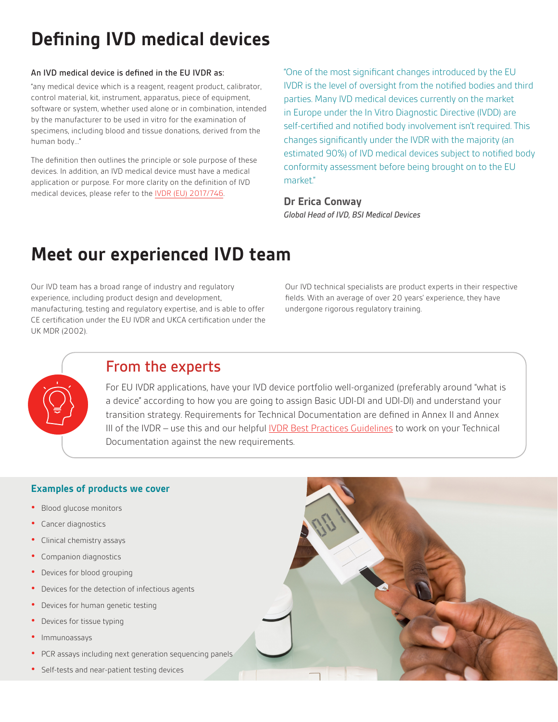### **Defining IVD medical devices**

#### An IVD medical device is defined in the EU IVDR as:

"any medical device which is a reagent, reagent product, calibrator, control material, kit, instrument, apparatus, piece of equipment, software or system, whether used alone or in combination, intended by the manufacturer to be used in vitro for the examination of specimens, including blood and tissue donations, derived from the human body…"

The definition then outlines the principle or sole purpose of these devices. In addition, an IVD medical device must have a medical application or purpose. For more clarity on the definition of IVD medical devices, please refer to the IVDR (EU) 2017/746.

"One of the most significant changes introduced by the EU IVDR is the level of oversight from the notified bodies and third parties. Many IVD medical devices currently on the market in Europe under the In Vitro Diagnostic Directive (IVDD) are self-certified and notified body involvement isn't required. This changes significantly under the IVDR with the majority (an estimated 90%) of IVD medical devices subject to notified body conformity assessment before being brought on to the EU market."

#### **Dr Erica Conway** *Global Head of IVD, BSI Medical Devices*

### **Meet our experienced IVD team**

Our IVD team has a broad range of industry and regulatory experience, including product design and development, manufacturing, testing and regulatory expertise, and is able to offer CE certification under the EU IVDR and UKCA certification under the UK MDR (2002).

Our IVD technical specialists are product experts in their respective fields. With an average of over 20 years' experience, they have undergone rigorous regulatory training.



#### From the experts

For EU IVDR applications, have your IVD device portfolio well-organized (preferably around "what is a device" according to how you are going to assign Basic UDI-DI and UDI-DI) and understand your transition strategy. Requirements for Technical Documentation are defined in Annex II and Annex III of the IVDR – use this and our helpful [IVDR Best Practices Guidelines](https://www.bsigroup.com/globalassets/meddev/localfiles/en-us/brochures/bsi-md-ivd-best-practice-documentation-submissions.pdf) to work on your Technical Documentation against the new requirements.

#### **Examples of products we cover**

- **•** Blood glucose monitors
- **•** Cancer diagnostics
- **•** Clinical chemistry assays
- **•** Companion diagnostics
- **•** Devices for blood grouping
- **•** Devices for the detection of infectious agents
- **•** Devices for human genetic testing
- **•** Devices for tissue typing
- **•** Immunoassays
- **•** PCR assays including next generation sequencing panels
- **•** Self-tests and near-patient testing devices

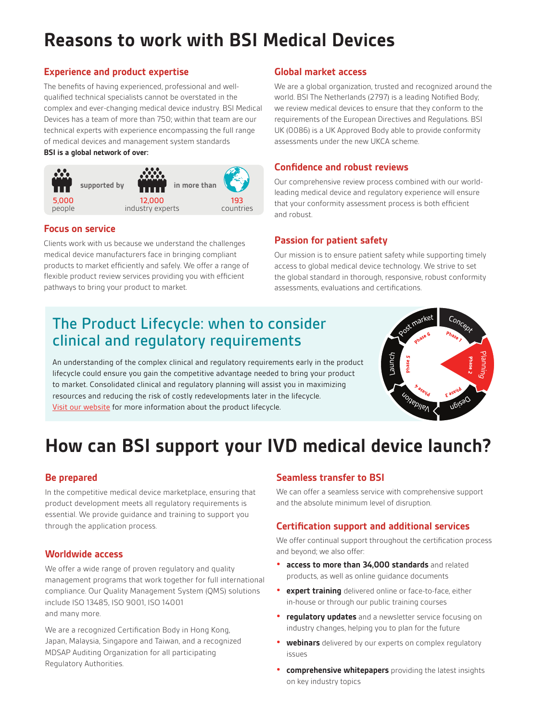### **Reasons to work with BSI Medical Devices**

#### **Experience and product expertise**

The benefits of having experienced, professional and wellqualified technical specialists cannot be overstated in the complex and ever-changing medical device industry. BSI Medical Devices has a team of more than 750; within that team are our technical experts with experience encompassing the full range of medical devices and management system standards **BSI is a global network of over:**



#### **Focus on service**

Clients work with us because we understand the challenges medical device manufacturers face in bringing compliant products to market efficiently and safely. We offer a range of flexible product review services providing you with efficient **Standard Onsite Dedicated Standard Onsite Dedicated** pathways to bring your product to market.

#### **Global market access**

We are a global organization, trusted and recognized around the world. BSI The Netherlands (2797) is a leading Notified Body; we review medical devices to ensure that they conform to the requirements of the European Directives and Regulations. BSI UK (0086) is a UK Approved Body able to provide conformity assessments under the new UKCA scheme.

#### **Confidence and robust reviews**

Our comprehensive review process combined with our worldleading medical device and regulatory experience will ensure that your conformity assessment process is both efficient and robust.

#### **Passion for patient safety**

Our mission is to ensure patient safety while supporting timely access to global medical device technology. We strive to set the global standard in thorough, responsive, robust conformity assessments, evaluations and certifications.

### The Product Lifecycle: when to consider clinical and regulatory requirements

An understanding of the complex clinical and regulatory requirements early in the product lifecycle could ensure you gain the competitive advantage needed to bring your product to market. Consolidated clinical and regulatory planning will assist you in maximizing resources and reducing the risk of costly redevelopments later in the lifecycle. [Visit our website](https://www.bsigroup.com/en-US/medical-devices/our-services/product-lifecycle/) for more information about the product lifecycle.



### **How can BSI support your IVD medical device launch?**

#### **Be prepared**

In the competitive medical device marketplace, ensuring that product development meets all regulatory requirements is essential. We provide guidance and training to support you through the application process.

#### **Worldwide access**

We offer a wide range of proven regulatory and quality management programs that work together for full international compliance. Our Quality Management System (QMS) solutions include ISO 13485, ISO 9001, ISO 14001 and many more.

We are a recognized Certification Body in Hong Kong, Japan, Malaysia, Singapore and Taiwan, and a recognized MDSAP Auditing Organization for all participating Regulatory Authorities.

#### **Seamless transfer to BSI**

We can offer a seamless service with comprehensive support and the absolute minimum level of disruption.

#### **Certification support and additional services**

We offer continual support throughout the certification process and beyond; we also offer:

- **• access to more than 34,000 standards** and related products, as well as online guidance documents
- **• expert training** delivered online or face-to-face, either in-house or through our public training courses
- **• regulatory updates** and a newsletter service focusing on industry changes, helping you to plan for the future
- **• webinars** delivered by our experts on complex regulatory issues
- **• comprehensive whitepapers** providing the latest insights on key industry topics